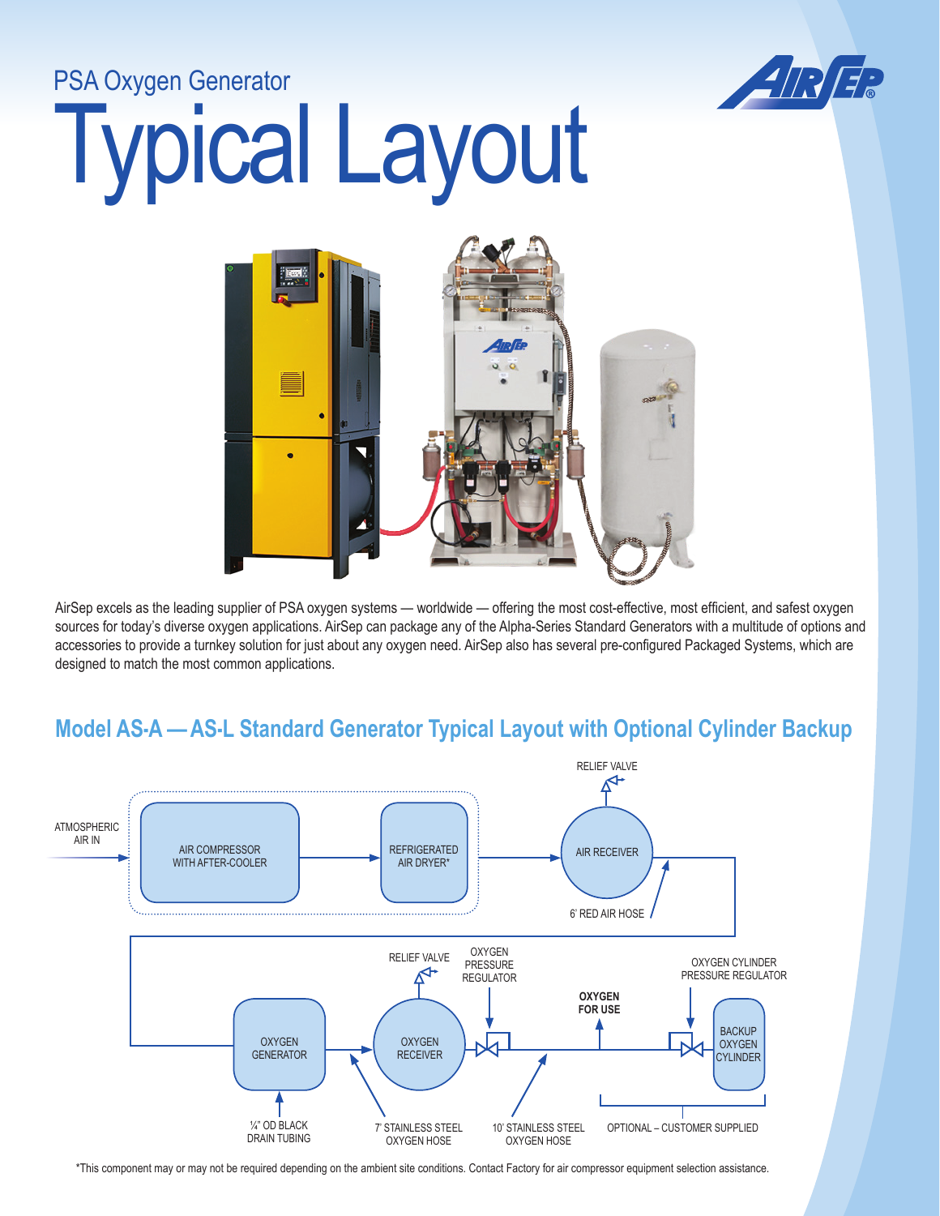## Typical Layout PSA Oxygen Generator



AirSep excels as the leading supplier of PSA oxygen systems — worldwide — offering the most cost-effective, most efficient, and safest oxygen sources for today's diverse oxygen applications. AirSep can package any of the Alpha-Series Standard Generators with a multitude of options and accessories to provide a turnkey solution for just about any oxygen need. AirSep also has several pre-configured Packaged Systems, which are designed to match the most common applications.

## **Model AS-A — AS-L Standard Generator Typical Layout with Optional Cylinder Backup**



\*This component may or may not be required depending on the ambient site conditions. Contact Factory for air compressor equipment selection assistance.